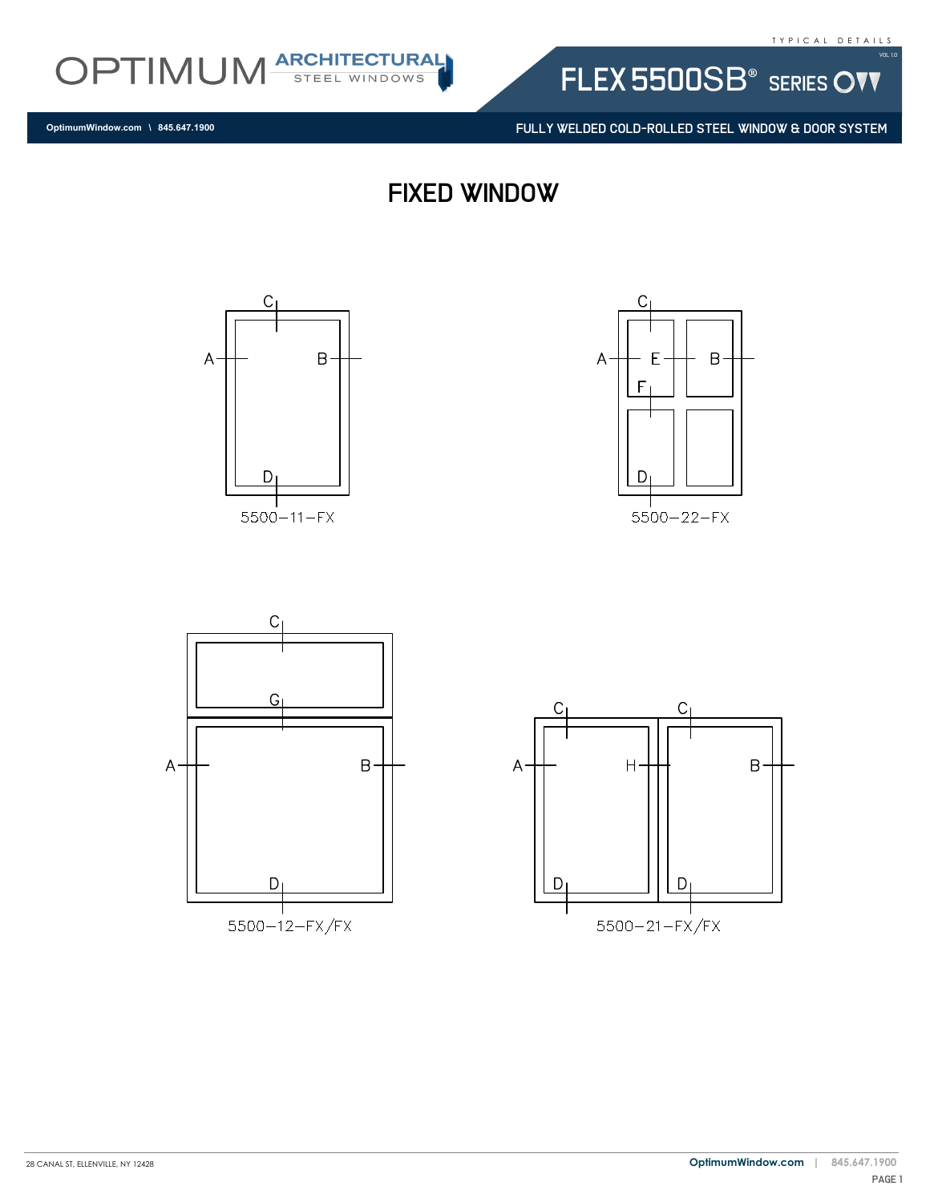

FLEX 5500SB<sup>®</sup> SERIES OVV

FULLY WELDED COLD-ROLLED STEEL WINDOW & DOOR SYSTEM

**OptimumWindow.com \ 845.647.1900**

fixed window





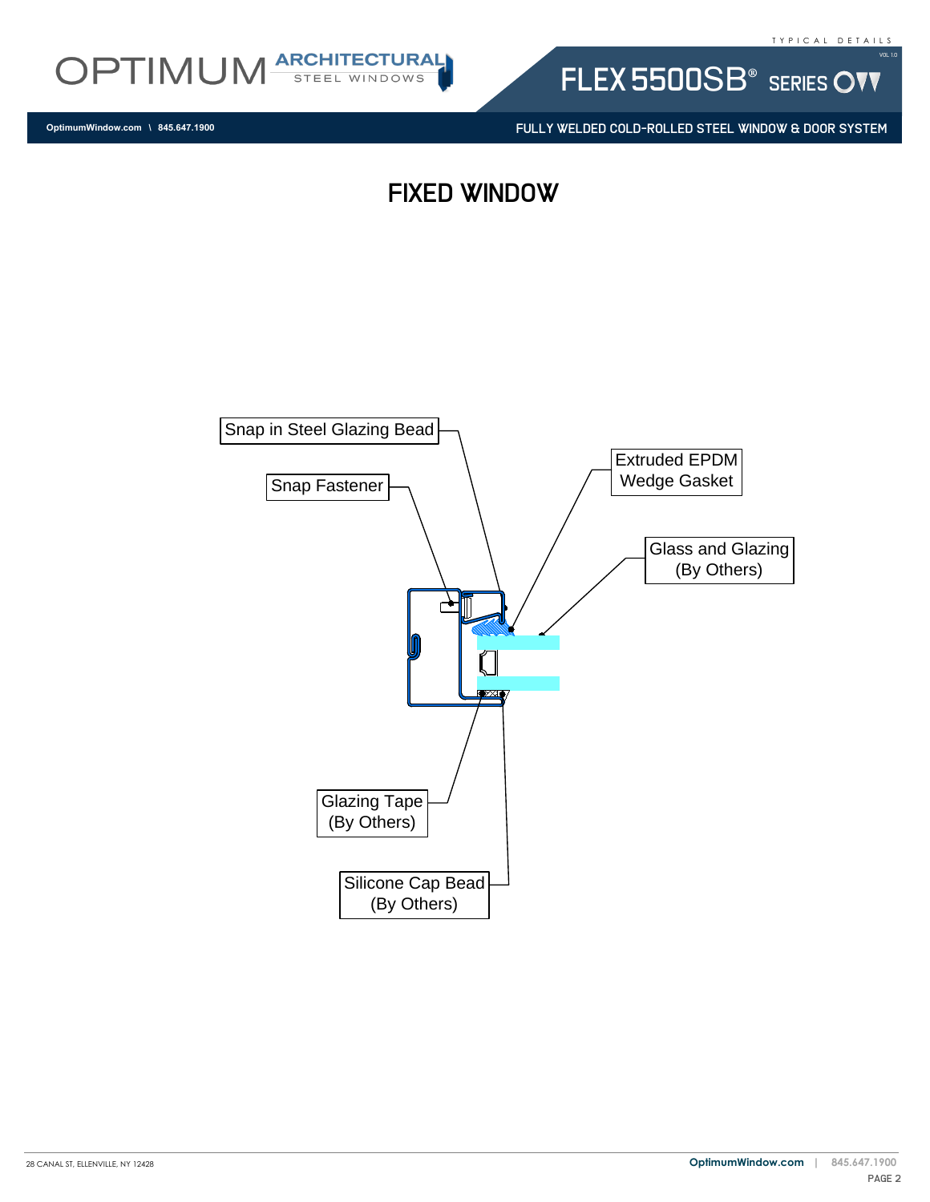

FLEX 5500SB<sup>®</sup> SERIES OVV

FULLY WELDED COLD-ROLLED STEEL WINDOW & DOOR SYSTEM

**OptimumWindow.com \ 845.647.1900**



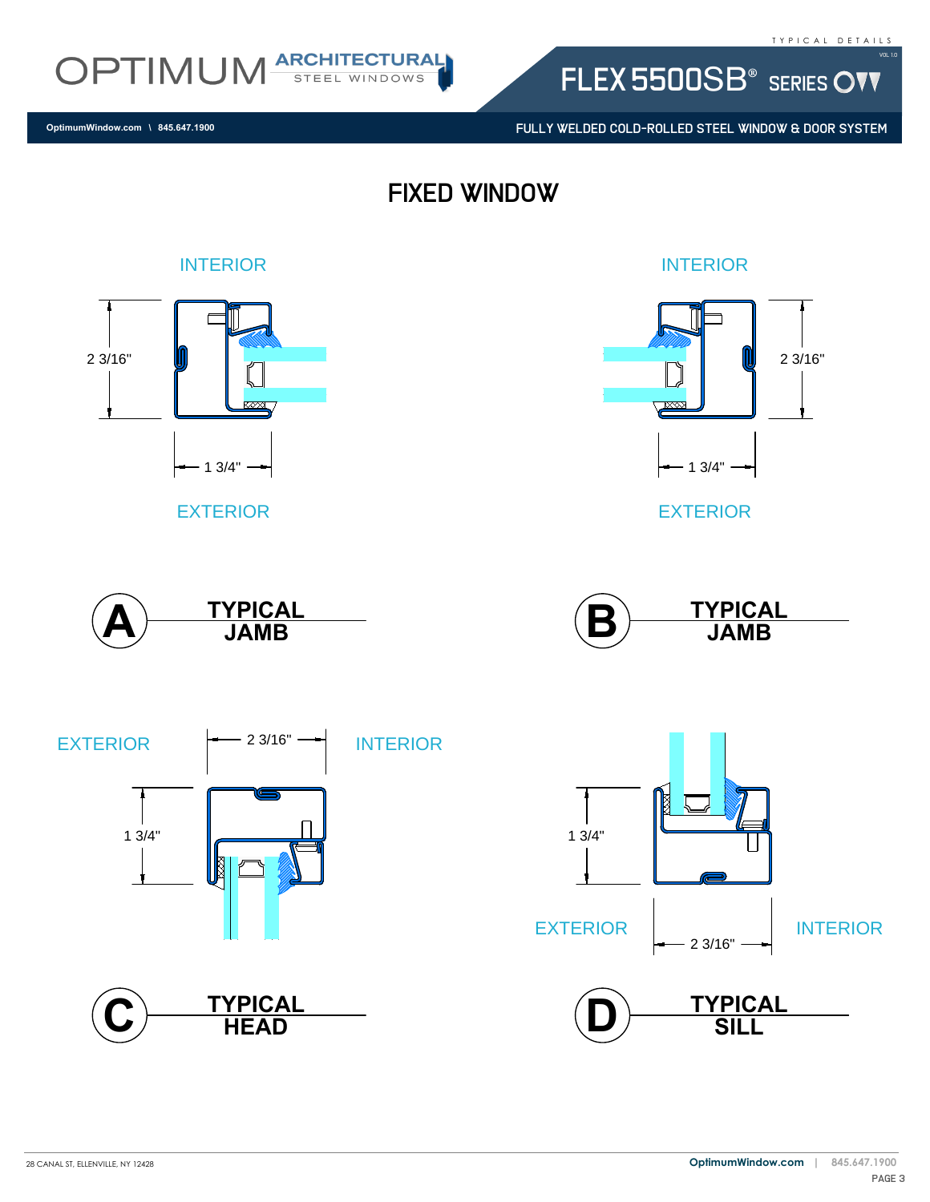



FULLY WELDED COLD-ROLLED STEEL WINDOW & DOOR SYSTEM

**OptimumWindow.com \ 845.647.1900**

fixed window



28 CANAL ST, ELLENVILLE, NY 12428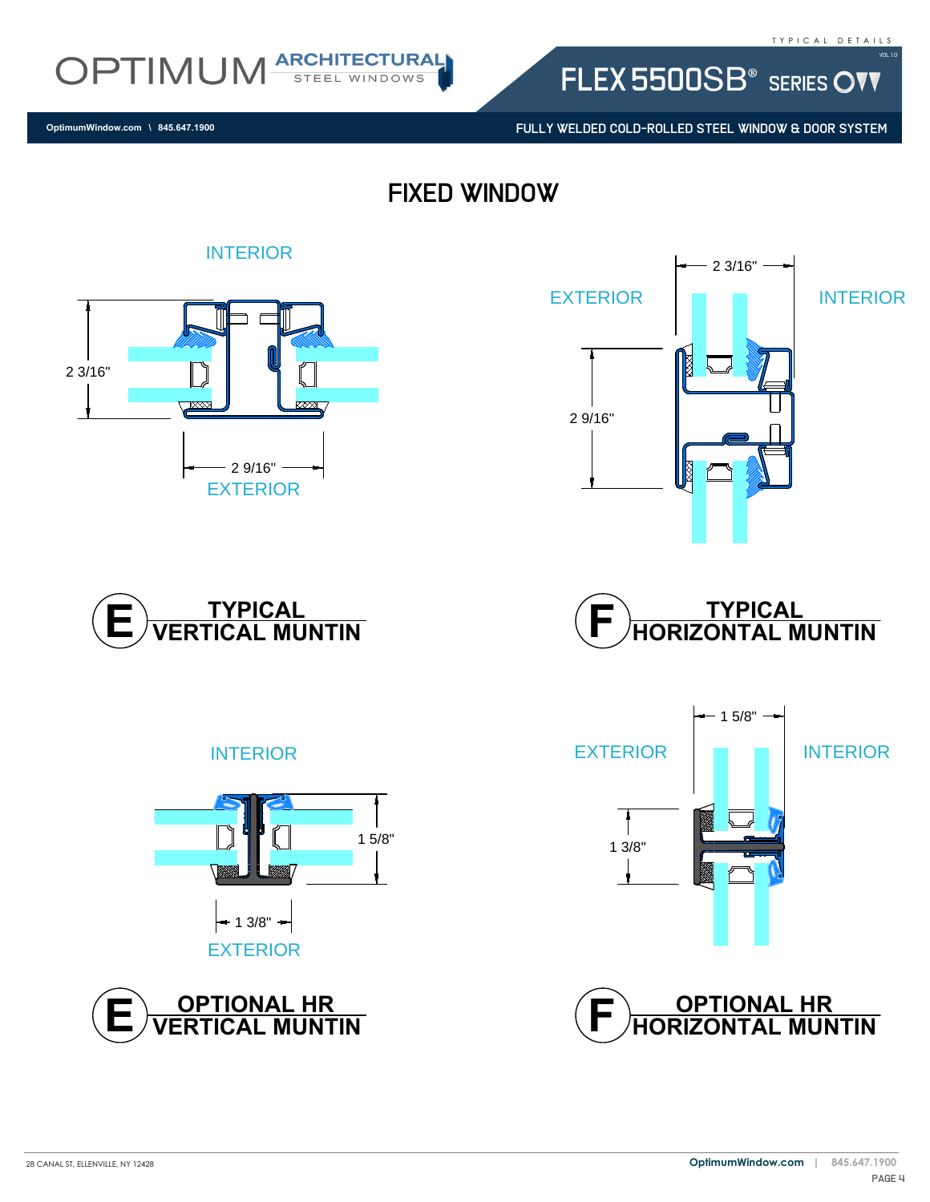

FLEX 5500SB<sup>®</sup> SERIES OVV

FULLY WELDED COLD-ROLLED STEEL WINDOW & DOOR SYSTEM

fixed window



**OptimumWindow.com \ 845.647.1900**







**HORIZONTAL MUNTIN TYPICAL**





 $\mathbf{E} = \frac{\mathbf{P}}{\mathbf{P}}$  **F**  $\mathbf{P}}$  **F**  $\mathbf{P}$  **F**  $\mathbf{P}$ 

 $-13/8"$   $-$ 

EXTERIOR

INTERIOR

1 5/8"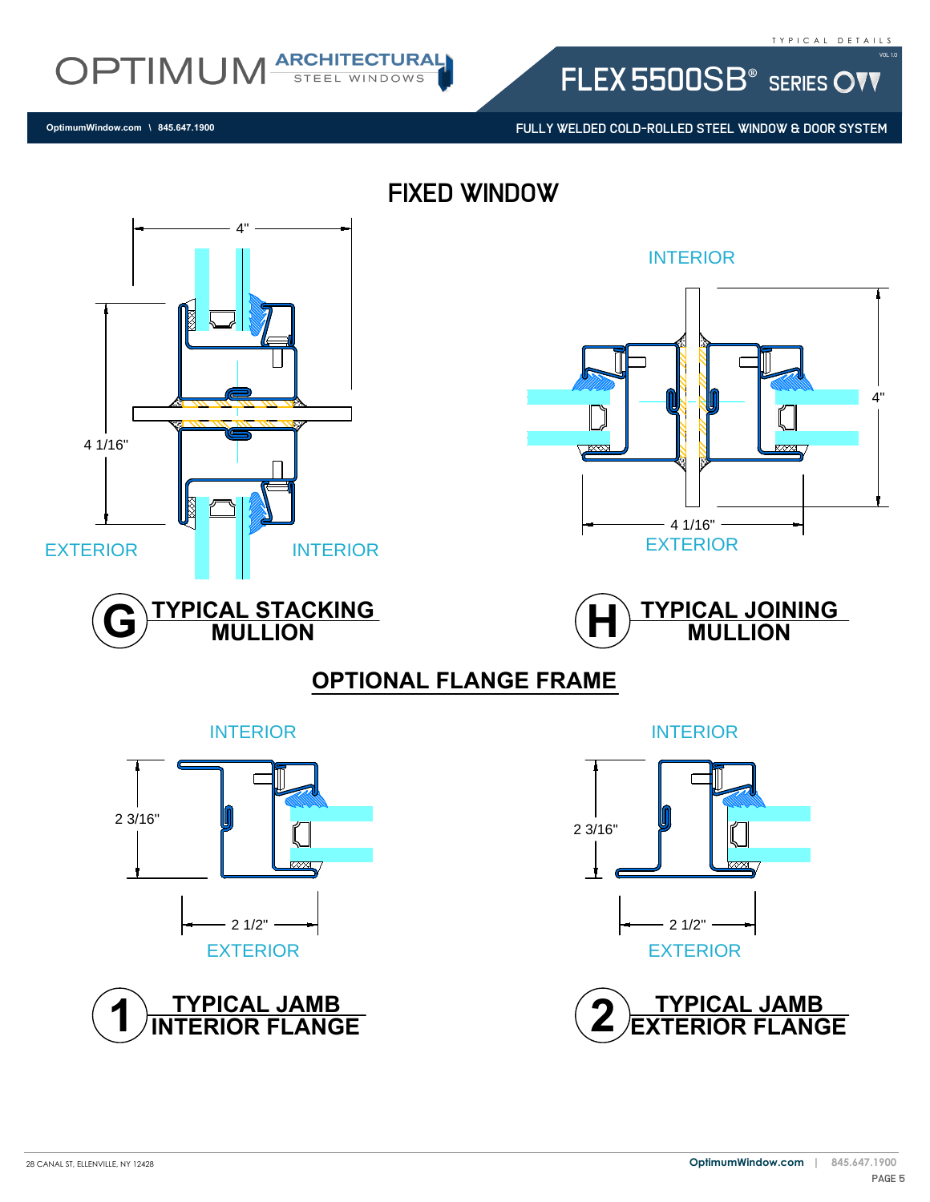4"



FLEX 5500SB<sup>®</sup> SERIES OVV

FULLY WELDED COLD-ROLLED STEEL WINDOW & DOOR SYSTEM

**OptimumWindow.com \ 845.647.1900**

fixed window



# INTERIOR ळ्ळा  $\overline{\infty}$ 4 1/16" EXTERIOR





### **OPTIONAL FLANGE FRAME**

INTERIOR





INTERIOR